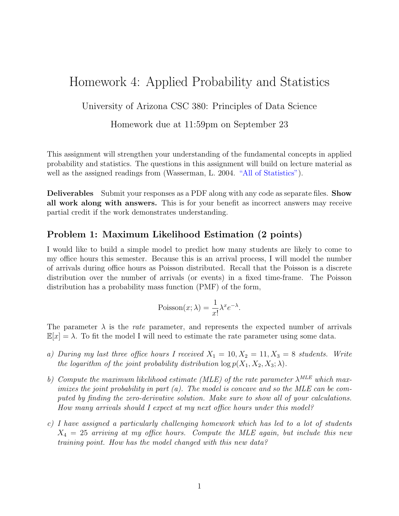## Homework 4: Applied Probability and Statistics

University of Arizona CSC 380: Principles of Data Science

Homework due at 11:59pm on September 23

This assignment will strengthen your understanding of the fundamental concepts in applied probability and statistics. The questions in this assignment will build on lecture material as well as the assigned readings from (Wasserman, L. 2004. ["All of Statistics"\)](https://link.springer.com/book/10.1007/978-0-387-21736-9).

Deliverables Submit your responses as a PDF along with any code as separate files. Show all work along with answers. This is for your benefit as incorrect answers may receive partial credit if the work demonstrates understanding.

## Problem 1: Maximum Likelihood Estimation (2 points)

I would like to build a simple model to predict how many students are likely to come to my office hours this semester. Because this is an arrival process, I will model the number of arrivals during office hours as Poisson distributed. Recall that the Poisson is a discrete distribution over the number of arrivals (or events) in a fixed time-frame. The Poisson distribution has a probability mass function (PMF) of the form,

$$
Poisson(x; \lambda) = \frac{1}{x!} \lambda^x e^{-\lambda}.
$$

The parameter  $\lambda$  is the *rate* parameter, and represents the expected number of arrivals  $\mathbb{E}[x] = \lambda$ . To fit the model I will need to estimate the rate parameter using some data.

- a) During my last three office hours I received  $X_1 = 10, X_2 = 11, X_3 = 8$  students. Write the logarithm of the joint probability distribution  $\log p(X_1, X_2, X_3; \lambda)$ .
- b) Compute the maximum likelihood estimate (MLE) of the rate parameter  $\lambda^{MLE}$  which maximizes the joint probability in part  $(a)$ . The model is concave and so the MLE can be computed by finding the zero-derivative solution. Make sure to show all of your calculations. How many arrivals should I expect at my next office hours under this model?
- c) I have assigned a particularly challenging homework which has led to a lot of students  $X_4 = 25$  arriving at my office hours. Compute the MLE again, but include this new training point. How has the model changed with this new data?